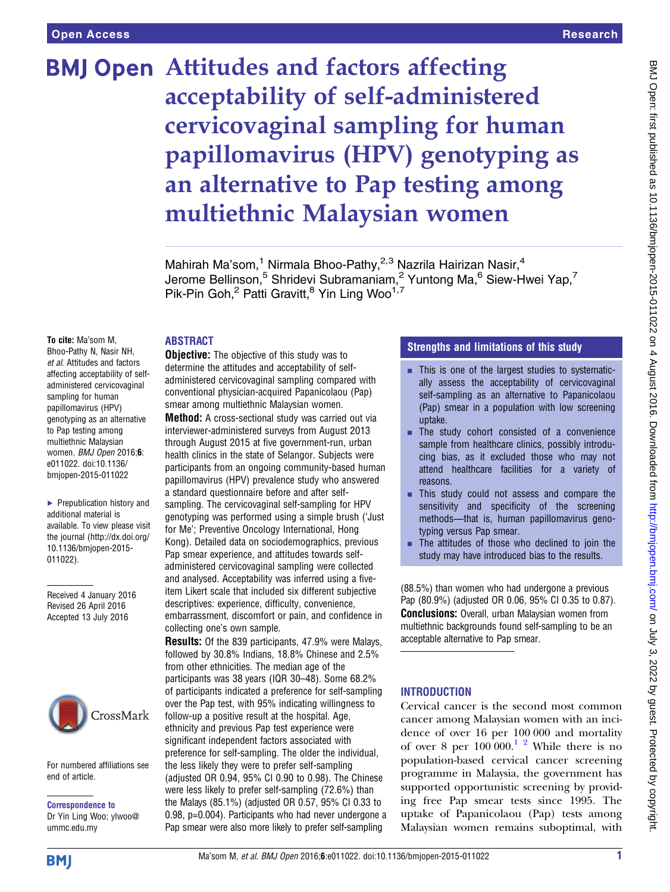# **BMJ Open Attitudes and factors affecting** acceptability of self-administered cervicovaginal sampling for human papillomavirus (HPV) genotyping as an alternative to Pap testing among multiethnic Malaysian women

Mahirah Ma'som,<sup>1</sup> Nirmala Bhoo-Pathy,<sup>2,3</sup> Nazrila Hairizan Nasir,<sup>4</sup> Jerome Bellinson,<sup>5</sup> Shridevi Subramaniam,<sup>2</sup> Yuntong Ma,<sup>6</sup> Siew-Hwei Yap,<sup>7</sup> Pik-Pin Goh,<sup>2</sup> Patti Gravitt,<sup>8</sup> Yin Ling Woo<sup>1,7</sup>

#### ABSTRACT

To cite: Ma'som M, Bhoo-Pathy N, Nasir NH, et al. Attitudes and factors affecting acceptability of selfadministered cervicovaginal sampling for human papillomavirus (HPV) genotyping as an alternative to Pap testing among multiethnic Malaysian women. BMJ Open 2016;6: e011022. doi:10.1136/ bmjopen-2015-011022

▶ Prepublication history and additional material is available. To view please visit the journal [\(http://dx.doi.org/](http://dx.doi.org/10.1136/bmjopen-2015-011022) [10.1136/bmjopen-2015-](http://dx.doi.org/10.1136/bmjopen-2015-011022) [011022\)](http://dx.doi.org/10.1136/bmjopen-2015-011022).

Received 4 January 2016 Revised 26 April 2016 Accepted 13 July 2016



For numbered affiliations see end of article.

Correspondence to Dr Yin Ling Woo; ylwoo@ ummc.edu.my

**Objective:** The objective of this study was to determine the attitudes and acceptability of selfadministered cervicovaginal sampling compared with conventional physician-acquired Papanicolaou (Pap) smear among multiethnic Malaysian women.

Method: A cross-sectional study was carried out via interviewer-administered surveys from August 2013 through August 2015 at five government-run, urban health clinics in the state of Selangor. Subjects were participants from an ongoing community-based human papillomavirus (HPV) prevalence study who answered a standard questionnaire before and after selfsampling. The cervicovaginal self-sampling for HPV genotyping was performed using a simple brush ('Just for Me'; Preventive Oncology International, Hong Kong). Detailed data on sociodemographics, previous Pap smear experience, and attitudes towards selfadministered cervicovaginal sampling were collected and analysed. Acceptability was inferred using a fiveitem Likert scale that included six different subjective descriptives: experience, difficulty, convenience, embarrassment, discomfort or pain, and confidence in collecting one's own sample.

**Results:** Of the 839 participants, 47.9% were Malays, followed by 30.8% Indians, 18.8% Chinese and 2.5% from other ethnicities. The median age of the participants was 38 years (IQR 30–48). Some 68.2% of participants indicated a preference for self-sampling over the Pap test, with 95% indicating willingness to follow-up a positive result at the hospital. Age, ethnicity and previous Pap test experience were significant independent factors associated with preference for self-sampling. The older the individual, the less likely they were to prefer self-sampling (adjusted OR 0.94, 95% CI 0.90 to 0.98). The Chinese were less likely to prefer self-sampling (72.6%) than the Malays (85.1%) (adjusted OR 0.57, 95% CI 0.33 to 0.98, p=0.004). Participants who had never undergone a Pap smear were also more likely to prefer self-sampling

### Strengths and limitations of this study

- This is one of the largest studies to systematically assess the acceptability of cervicovaginal self-sampling as an alternative to Papanicolaou (Pap) smear in a population with low screening uptake.
- $\blacksquare$  The study cohort consisted of a convenience sample from healthcare clinics, possibly introducing bias, as it excluded those who may not attend healthcare facilities for a variety of reasons.
- This study could not assess and compare the sensitivity and specificity of the screening methods—that is, human papillomavirus genotyping versus Pap smear.
- The attitudes of those who declined to join the study may have introduced bias to the results.

(88.5%) than women who had undergone a previous Pap (80.9%) (adjusted OR 0.06, 95% CI 0.35 to 0.87). Conclusions: Overall, urban Malaysian women from multiethnic backgrounds found self-sampling to be an acceptable alternative to Pap smear.

#### **INTRODUCTION**

Cervical cancer is the second most common cancer among Malaysian women with an incidence of over 16 per 100 000 and mortality of over 8 per  $100\,000$ .<sup>1</sup> <sup>2</sup> While there is no population-based cervical cancer screening programme in Malaysia, the government has supported opportunistic screening by providing free Pap smear tests since 1995. The uptake of Papanicolaou (Pap) tests among Malaysian women remains suboptimal, with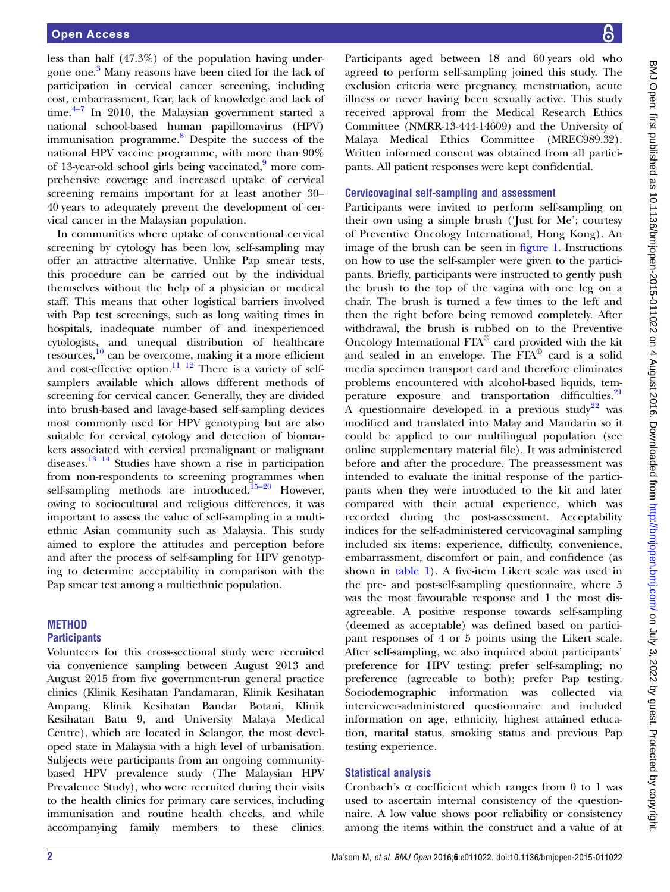less than half (47.3%) of the population having under-gone one.<sup>[3](#page-5-0)</sup> Many reasons have been cited for the lack of participation in cervical cancer screening, including cost, [em](#page-5-0)barrassment, fear, lack of knowledge and lack of time. $4\frac{4}{7}$  In 2010, the Malaysian government started a national school-based human papillomavirus (HPV) immunisation programme.<sup>[8](#page-5-0)</sup> Despite the success of the national HPV vaccine programme, with more than 90% of 13-year-old school girls being vaccinated,<sup>9</sup> more comprehensive coverage and increased uptake of cervical screening remains important for at least another 30– 40 years to adequately prevent the development of cervical cancer in the Malaysian population.

In communities where uptake of conventional cervical screening by cytology has been low, self-sampling may offer an attractive alternative. Unlike Pap smear tests, this procedure can be carried out by the individual themselves without the help of a physician or medical staff. This means that other logistical barriers involved with Pap test screenings, such as long waiting times in hospitals, inadequate number of and inexperienced cytologists, and unequal distribution of healthcare resources,[10](#page-5-0) can be overcome, making it a more efficient and cost-effective option.<sup>[11 12](#page-5-0)</sup> There is a variety of selfsamplers available which allows different methods of screening for cervical cancer. Generally, they are divided into brush-based and lavage-based self-sampling devices most commonly used for HPV genotyping but are also suitable for cervical cytology and detection of biomarkers associated with cervical premalignant or malignant diseases.[13](#page-5-0) [14](#page-6-0) Studies have shown a rise in participation from non-respondents to screening programmes when self-sampling methods are introduced.<sup>[15](#page-6-0)–20</sup> However, owing to sociocultural and religious differences, it was important to assess the value of self-sampling in a multiethnic Asian community such as Malaysia. This study aimed to explore the attitudes and perception before and after the process of self-sampling for HPV genotyping to determine acceptability in comparison with the Pap smear test among a multiethnic population.

#### **METHOD Participants**

Volunteers for this cross-sectional study were recruited via convenience sampling between August 2013 and August 2015 from five government-run general practice clinics (Klinik Kesihatan Pandamaran, Klinik Kesihatan Ampang, Klinik Kesihatan Bandar Botani, Klinik Kesihatan Batu 9, and University Malaya Medical Centre), which are located in Selangor, the most developed state in Malaysia with a high level of urbanisation. Subjects were participants from an ongoing communitybased HPV prevalence study (The Malaysian HPV Prevalence Study), who were recruited during their visits to the health clinics for primary care services, including immunisation and routine health checks, and while accompanying family members to these clinics.

Participants aged between 18 and 60 years old who agreed to perform self-sampling joined this study. The exclusion criteria were pregnancy, menstruation, acute illness or never having been sexually active. This study received approval from the Medical Research Ethics Committee (NMRR-13-444-14609) and the University of Malaya Medical Ethics Committee (MREC989.32). Written informed consent was obtained from all participants. All patient responses were kept confidential.

#### Cervicovaginal self-sampling and assessment

Participants were invited to perform self-sampling on their own using a simple brush ('Just for Me'; courtesy of Preventive Oncology International, Hong Kong). An image of the brush can be seen in fi[gure 1](#page-2-0). Instructions on how to use the self-sampler were given to the participants. Briefly, participants were instructed to gently push the brush to the top of the vagina with one leg on a chair. The brush is turned a few times to the left and then the right before being removed completely. After withdrawal, the brush is rubbed on to the Preventive Oncology International FTA® card provided with the kit and sealed in an envelope. The FTA® card is a solid media specimen transport card and therefore eliminates problems encountered with alcohol-based liquids, tem-perature exposure and transportation difficulties.<sup>[21](#page-6-0)</sup> A questionnaire developed in a previous study<sup>[22](#page-6-0)</sup> was modified and translated into Malay and Mandarin so it could be applied to our multilingual population (see online supplementary material file). It was administered before and after the procedure. The preassessment was intended to evaluate the initial response of the participants when they were introduced to the kit and later compared with their actual experience, which was recorded during the post-assessment. Acceptability indices for the self-administered cervicovaginal sampling included six items: experience, difficulty, convenience, embarrassment, discomfort or pain, and confidence (as shown in [table 1](#page-2-0)). A five-item Likert scale was used in the pre- and post-self-sampling questionnaire, where 5 was the most favourable response and 1 the most disagreeable. A positive response towards self-sampling (deemed as acceptable) was defined based on participant responses of 4 or 5 points using the Likert scale. After self-sampling, we also inquired about participants' preference for HPV testing: prefer self-sampling; no preference (agreeable to both); prefer Pap testing. Sociodemographic information was collected via interviewer-administered questionnaire and included information on age, ethnicity, highest attained education, marital status, smoking status and previous Pap testing experience.

#### Statistical analysis

Cronbach's α coefficient which ranges from 0 to 1 was used to ascertain internal consistency of the questionnaire. A low value shows poor reliability or consistency among the items within the construct and a value of at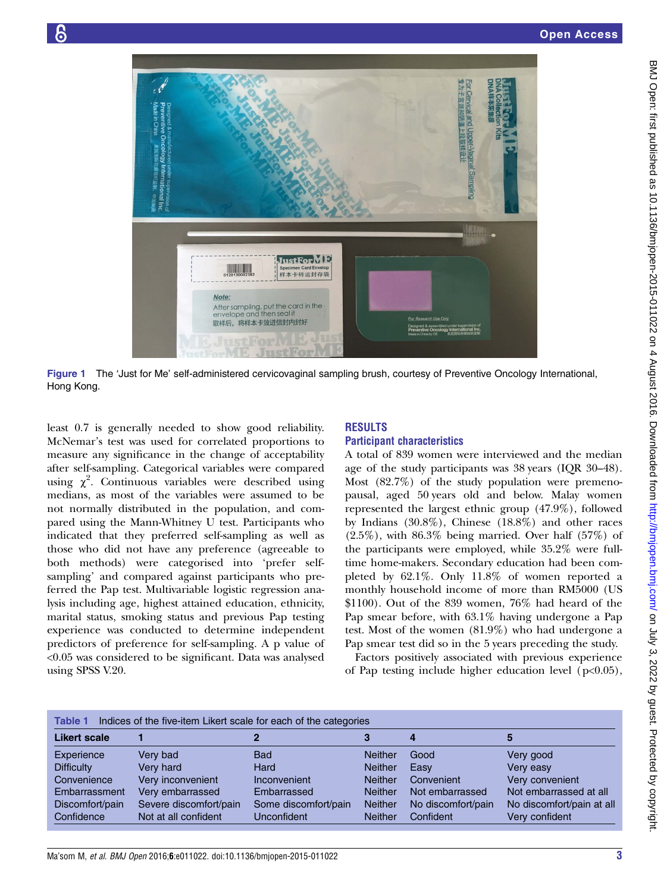<span id="page-2-0"></span>

Figure 1 The 'Just for Me' self-administered cervicovaginal sampling brush, courtesy of Preventive Oncology International, Hong Kong.

least 0.7 is generally needed to show good reliability. McNemar's test was used for correlated proportions to measure any significance in the change of acceptability after self-sampling. Categorical variables were compared using  $\chi^2$ . Continuous variables were described using medians, as most of the variables were assumed to be not normally distributed in the population, and compared using the Mann-Whitney U test. Participants who indicated that they preferred self-sampling as well as those who did not have any preference (agreeable to both methods) were categorised into 'prefer selfsampling' and compared against participants who preferred the Pap test. Multivariable logistic regression analysis including age, highest attained education, ethnicity, marital status, smoking status and previous Pap testing experience was conducted to determine independent predictors of preference for self-sampling. A p value of <0.05 was considered to be significant. Data was analysed using SPSS V.20.

# RESULTS

#### Participant characteristics

A total of 839 women were interviewed and the median age of the study participants was 38 years (IQR 30–48). Most (82.7%) of the study population were premenopausal, aged 50 years old and below. Malay women represented the largest ethnic group (47.9%), followed by Indians (30.8%), Chinese (18.8%) and other races  $(2.5\%)$ , with  $86.3\%$  being married. Over half  $(57\%)$  of the participants were employed, while 35.2% were fulltime home-makers. Secondary education had been completed by 62.1%. Only 11.8% of women reported a monthly household income of more than RM5000 (US  $$1100$ ). Out of the 839 women, 76% had heard of the Pap smear before, with 63.1% having undergone a Pap test. Most of the women (81.9%) who had undergone a Pap smear test did so in the 5 years preceding the study.

Factors positively associated with previous experience of Pap testing include higher education level ( $p<0.05$ ),

| Indices of the five-item Likert scale for each of the categories<br><b>Table 1</b> |                        |                      |                |                    |                           |  |  |  |  |
|------------------------------------------------------------------------------------|------------------------|----------------------|----------------|--------------------|---------------------------|--|--|--|--|
| <b>Likert scale</b>                                                                |                        |                      |                |                    |                           |  |  |  |  |
| Experience                                                                         | Very bad               | <b>Bad</b>           | <b>Neither</b> | Good               | Very good                 |  |  |  |  |
| <b>Difficulty</b>                                                                  | Very hard              | Hard                 | <b>Neither</b> | Easy               | Very easy                 |  |  |  |  |
| Convenience                                                                        | Very inconvenient      | Inconvenient         | <b>Neither</b> | Convenient         | Very convenient           |  |  |  |  |
| Embarrassment                                                                      | Very embarrassed       | Embarrassed          | <b>Neither</b> | Not embarrassed    | Not embarrassed at all    |  |  |  |  |
| Discomfort/pain                                                                    | Severe discomfort/pain | Some discomfort/pain | <b>Neither</b> | No discomfort/pain | No discomfort/pain at all |  |  |  |  |
| Confidence                                                                         | Not at all confident   | Unconfident          | <b>Neither</b> | Confident          | Very confident            |  |  |  |  |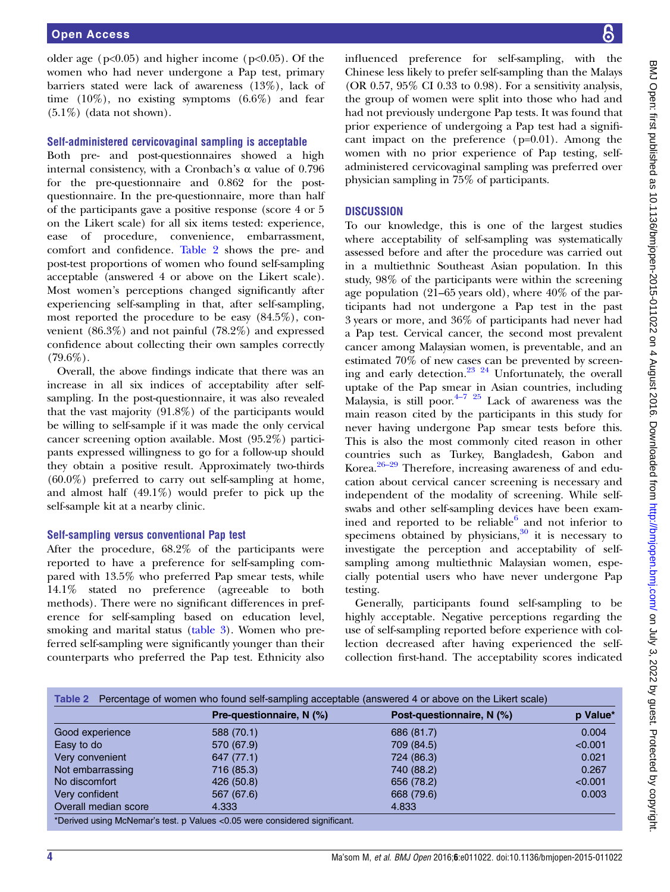older age ( $p<0.05$ ) and higher income ( $p<0.05$ ). Of the women who had never undergone a Pap test, primary barriers stated were lack of awareness (13%), lack of time  $(10\%)$ , no existing symptoms  $(6.6\%)$  and fear  $(5.1\%)$  (data not shown).

#### Self-administered cervicovaginal sampling is acceptable

Both pre- and post-questionnaires showed a high internal consistency, with a Cronbach's α value of 0.796 for the pre-questionnaire and 0.862 for the postquestionnaire. In the pre-questionnaire, more than half of the participants gave a positive response (score 4 or 5 on the Likert scale) for all six items tested: experience, ease of procedure, convenience, embarrassment, comfort and confidence. Table 2 shows the pre- and post-test proportions of women who found self-sampling acceptable (answered 4 or above on the Likert scale). Most women's perceptions changed significantly after experiencing self-sampling in that, after self-sampling, most reported the procedure to be easy (84.5%), convenient (86.3%) and not painful (78.2%) and expressed confidence about collecting their own samples correctly  $(79.6\%)$ .

Overall, the above findings indicate that there was an increase in all six indices of acceptability after selfsampling. In the post-questionnaire, it was also revealed that the vast majority (91.8%) of the participants would be willing to self-sample if it was made the only cervical cancer screening option available. Most (95.2%) participants expressed willingness to go for a follow-up should they obtain a positive result. Approximately two-thirds (60.0%) preferred to carry out self-sampling at home, and almost half (49.1%) would prefer to pick up the self-sample kit at a nearby clinic.

#### Self-sampling versus conventional Pap test

After the procedure, 68.2% of the participants were reported to have a preference for self-sampling compared with 13.5% who preferred Pap smear tests, while 14.1% stated no preference (agreeable to both methods). There were no significant differences in preference for self-sampling based on education level, smoking and marital status [\(table 3\)](#page-4-0). Women who preferred self-sampling were significantly younger than their counterparts who preferred the Pap test. Ethnicity also

influenced preference for self-sampling, with the Chinese less likely to prefer self-sampling than the Malays (OR 0.57, 95% CI 0.33 to 0.98). For a sensitivity analysis, the group of women were split into those who had and had not previously undergone Pap tests. It was found that prior experience of undergoing a Pap test had a significant impact on the preference (p=0.01). Among the women with no prior experience of Pap testing, selfadministered cervicovaginal sampling was preferred over physician sampling in 75% of participants.

#### **DISCUSSION**

To our knowledge, this is one of the largest studies where acceptability of self-sampling was systematically assessed before and after the procedure was carried out in a multiethnic Southeast Asian population. In this study, 98% of the participants were within the screening age population (21–65 years old), where 40% of the participants had not undergone a Pap test in the past 3 years or more, and 36% of participants had never had a Pap test. Cervical cancer, the second most prevalent cancer among Malaysian women, is preventable, and an estimated 70% of new cases can be prevented by screening and early detection.[23 24](#page-6-0) Unfortunately, the overall uptake of the Pap s[mea](#page-5-0)r in Asian countries, including Malaysia, is still poor. $4-7$   $25$  Lack of awareness was the main reason cited by the participants in this study for never having undergone Pap smear tests before this. This is also the most commonly cited reason in other count[ries](#page-6-0) such as Turkey, Bangladesh, Gabon and Korea. $26-29$  Therefore, increasing awareness of and education about cervical cancer screening is necessary and independent of the modality of screening. While selfswabs and other self-sampling devices have been examined and reported to be reliable $6$  and not inferior to specimens obtained by physicians, $30$  it is necessary to investigate the perception and acceptability of selfsampling among multiethnic Malaysian women, especially potential users who have never undergone Pap testing.

Generally, participants found self-sampling to be highly acceptable. Negative perceptions regarding the use of self-sampling reported before experience with collection decreased after having experienced the selfcollection first-hand. The acceptability scores indicated

|                      | Pre-questionnaire, N (%) | Post-questionnaire, N (%) | p Value* |
|----------------------|--------------------------|---------------------------|----------|
| Good experience      | 588 (70.1)               | 686 (81.7)                | 0.004    |
| Easy to do           | 570 (67.9)               | 709 (84.5)                | < 0.001  |
| Very convenient      | 647 (77.1)               | 724 (86.3)                | 0.021    |
| Not embarrassing     | 716 (85.3)               | 740 (88.2)                | 0.267    |
| No discomfort        | 426 (50.8)               | 656 (78.2)                | < 0.001  |
| Very confident       | 567 (67.6)               | 668 (79.6)                | 0.003    |
| Overall median score | 4.333                    | 4.833                     |          |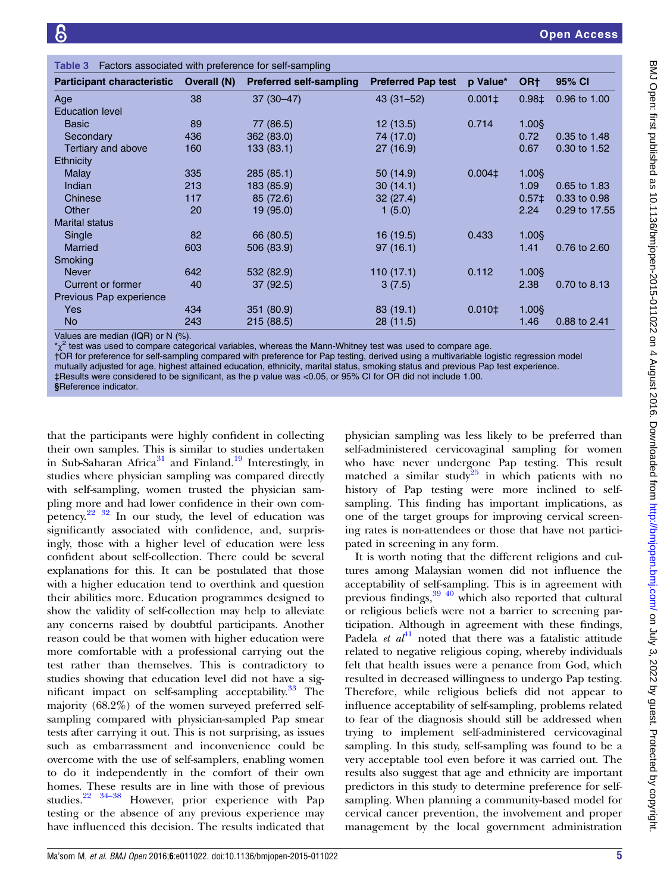<span id="page-4-0"></span>

| Factors associated with preference for self-sampling<br>Table 3 |             |                                |                           |               |                   |               |  |  |  |
|-----------------------------------------------------------------|-------------|--------------------------------|---------------------------|---------------|-------------------|---------------|--|--|--|
| <b>Participant characteristic</b>                               | Overall (N) | <b>Preferred self-sampling</b> | <b>Preferred Pap test</b> | p Value*      | OR <sub>†</sub>   | 95% CI        |  |  |  |
| Age                                                             | 38          | $37(30-47)$                    | $43(31 - 52)$             | $0.001 \pm 1$ | $0.98+$           | 0.96 to 1.00  |  |  |  |
| <b>Education level</b>                                          |             |                                |                           |               |                   |               |  |  |  |
| <b>Basic</b>                                                    | 89          | 77 (86.5)                      | 12 (13.5)                 | 0.714         | $1.00$ §          |               |  |  |  |
| Secondary                                                       | 436         | 362 (83.0)                     | 74 (17.0)                 |               | 0.72              | 0.35 to 1.48  |  |  |  |
| Tertiary and above                                              | 160         | 133 (83.1)                     | 27(16.9)                  |               | 0.67              | 0.30 to 1.52  |  |  |  |
| <b>Ethnicity</b>                                                |             |                                |                           |               |                   |               |  |  |  |
| <b>Malay</b>                                                    | 335         | 285 (85.1)                     | 50 (14.9)                 | $0.004\pm$    | 1.00\$            |               |  |  |  |
| Indian                                                          | 213         | 183 (85.9)                     | 30(14.1)                  |               | 1.09              | 0.65 to 1.83  |  |  |  |
| Chinese                                                         | 117         | 85 (72.6)                      | 32(27.4)                  |               | 0.57 <sup>±</sup> | 0.33 to 0.98  |  |  |  |
| Other                                                           | 20          | 19 (95.0)                      | 1(5.0)                    |               | 2.24              | 0.29 to 17.55 |  |  |  |
| <b>Marital status</b>                                           |             |                                |                           |               |                   |               |  |  |  |
| Single                                                          | 82          | 66 (80.5)                      | 16 (19.5)                 | 0.433         | $1.00$ §          |               |  |  |  |
| <b>Married</b>                                                  | 603         | 506 (83.9)                     | 97(16.1)                  |               | 1.41              | 0.76 to 2.60  |  |  |  |
| Smoking                                                         |             |                                |                           |               |                   |               |  |  |  |
| <b>Never</b>                                                    | 642         | 532 (82.9)                     | 110(17.1)                 | 0.112         | $1.00$ §          |               |  |  |  |
| Current or former                                               | 40          | 37(92.5)                       | 3(7.5)                    |               | 2.38              | 0.70 to 8.13  |  |  |  |
| Previous Pap experience                                         |             |                                |                           |               |                   |               |  |  |  |
| <b>Yes</b>                                                      | 434         | 351 (80.9)                     | 83(19.1)                  | $0.010 \pm$   | $1.00$ §          |               |  |  |  |
| <b>No</b>                                                       | 243         | 215 (88.5)                     | 28(11.5)                  |               | 1.46              | 0.88 to 2.41  |  |  |  |

Values are median (IQR) or N (%).

 $\chi^2$  test was used to compare categorical variables, whereas the Mann-Whitney test was used to compare age.

†OR for preference for self-sampling compared with preference for Pap testing, derived using a multivariable logistic regression model mutually adjusted for age, highest attained education, ethnicity, marital status, smoking status and previous Pap test experience. ‡Results were considered to be significant, as the p value was <0.05, or 95% CI for OR did not include 1.00.

§Reference indicator.

that the participants were highly confident in collecting their own samples. This is similar to studies undertaken in Sub-Saharan Africa<sup>[31](#page-6-0)</sup> and Finland.<sup>[19](#page-6-0)</sup> Interestingly, in studies where physician sampling was compared directly with self-sampling, women trusted the physician sampling more and had lower confidence in their own competency. $22 \frac{32}{10}$  In our study, the level of education was significantly associated with confidence, and, surprisingly, those with a higher level of education were less confident about self-collection. There could be several explanations for this. It can be postulated that those with a higher education tend to overthink and question their abilities more. Education programmes designed to show the validity of self-collection may help to alleviate any concerns raised by doubtful participants. Another reason could be that women with higher education were more comfortable with a professional carrying out the test rather than themselves. This is contradictory to studies showing that education level did not have a significant impact on self-sampling acceptability. $33$  The majority (68.2%) of the women surveyed preferred selfsampling compared with physician-sampled Pap smear tests after carrying it out. This is not surprising, as issues such as embarrassment and inconvenience could be overcome with the use of self-samplers, enabling women to do it independently in the comfort of their own homes. T[hese r](#page-6-0)esults are in line with those of previous studies.[22](#page-6-0) 34–<sup>38</sup> However, prior experience with Pap testing or the absence of any previous experience may have influenced this decision. The results indicated that

physician sampling was less likely to be preferred than self-administered cervicovaginal sampling for women who have never undergone Pap testing. This result matched a similar study<sup>[25](#page-6-0)</sup> in which patients with no history of Pap testing were more inclined to selfsampling. This finding has important implications, as one of the target groups for improving cervical screening rates is non-attendees or those that have not participated in screening in any form.

It is worth noting that the different religions and cultures among Malaysian women did not influence the acceptability of self-sampling. This is in agreement with previous findings,<sup>39 40</sup> which also reported that cultural or religious beliefs were not a barrier to screening participation. Although in agreement with these findings, Padela *et al*<sup>[41](#page-6-0)</sup> noted that there was a fatalistic attitude related to negative religious coping, whereby individuals felt that health issues were a penance from God, which resulted in decreased willingness to undergo Pap testing. Therefore, while religious beliefs did not appear to influence acceptability of self-sampling, problems related to fear of the diagnosis should still be addressed when trying to implement self-administered cervicovaginal sampling. In this study, self-sampling was found to be a very acceptable tool even before it was carried out. The results also suggest that age and ethnicity are important predictors in this study to determine preference for selfsampling. When planning a community-based model for cervical cancer prevention, the involvement and proper management by the local government administration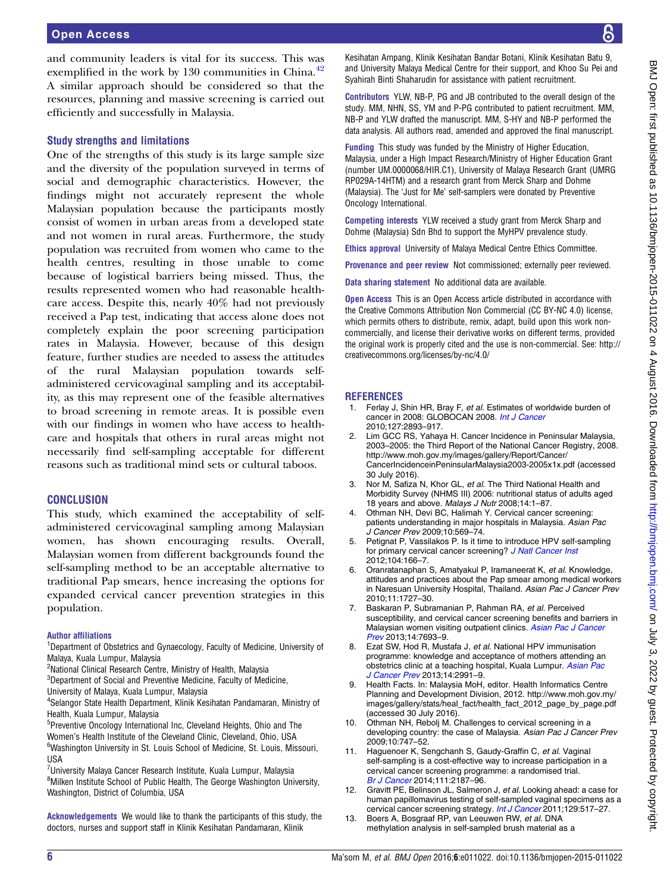<span id="page-5-0"></span>and community leaders is vital for its success. This was exemplified in the work by  $130$  communities in China.<sup>[42](#page-6-0)</sup> A similar approach should be considered so that the resources, planning and massive screening is carried out efficiently and successfully in Malaysia.

#### Study strengths and limitations

One of the strengths of this study is its large sample size and the diversity of the population surveyed in terms of social and demographic characteristics. However, the findings might not accurately represent the whole Malaysian population because the participants mostly consist of women in urban areas from a developed state and not women in rural areas. Furthermore, the study population was recruited from women who came to the health centres, resulting in those unable to come because of logistical barriers being missed. Thus, the results represented women who had reasonable healthcare access. Despite this, nearly 40% had not previously received a Pap test, indicating that access alone does not completely explain the poor screening participation rates in Malaysia. However, because of this design feature, further studies are needed to assess the attitudes of the rural Malaysian population towards selfadministered cervicovaginal sampling and its acceptability, as this may represent one of the feasible alternatives to broad screening in remote areas. It is possible even with our findings in women who have access to healthcare and hospitals that others in rural areas might not necessarily find self-sampling acceptable for different reasons such as traditional mind sets or cultural taboos.

#### **CONCLUSION**

This study, which examined the acceptability of selfadministered cervicovaginal sampling among Malaysian women, has shown encouraging results. Overall, Malaysian women from different backgrounds found the self-sampling method to be an acceptable alternative to traditional Pap smears, hence increasing the options for expanded cervical cancer prevention strategies in this population.

#### Author affiliations

<sup>1</sup>Department of Obstetrics and Gynaecology, Faculty of Medicine, University of Malaya, Kuala Lumpur, Malaysia

<sup>2</sup>National Clinical Research Centre, Ministry of Health, Malaysia

- ${}^{3}$ Department of Social and Preventive Medicine, Faculty of Medicine,
- University of Malaya, Kuala Lumpur, Malaysia
- 4 Selangor State Health Department, Klinik Kesihatan Pandamaran, Ministry of Health, Kuala Lumpur, Malaysia

5 Preventive Oncology International Inc, Cleveland Heights, Ohio and The Women's Health Institute of the Cleveland Clinic, Cleveland, Ohio, USA <sup>6</sup>Washington University in St. Louis School of Medicine, St. Louis, Missouri, **IISA** 

<sup>7</sup>University Malaya Cancer Research Institute, Kuala Lumpur, Malaysia <sup>8</sup>Milken Institute School of Public Health, The George Washington University, Washington, District of Columbia, USA

Acknowledgements We would like to thank the participants of this study, the doctors, nurses and support staff in Klinik Kesihatan Pandamaran, Klinik

Kesihatan Ampang, Klinik Kesihatan Bandar Botani, Klinik Kesihatan Batu 9, and University Malaya Medical Centre for their support, and Khoo Su Pei and Syahirah Binti Shaharudin for assistance with patient recruitment.

Contributors YLW, NB-P, PG and JB contributed to the overall design of the study. MM, NHN, SS, YM and P-PG contributed to patient recruitment. MM, NB-P and YLW drafted the manuscript. MM, S-HY and NB-P performed the data analysis. All authors read, amended and approved the final manuscript.

Funding This study was funded by the Ministry of Higher Education, Malaysia, under a High Impact Research/Ministry of Higher Education Grant (number UM.0000068/HIR.C1), University of Malaya Research Grant (UMRG RP029A-14HTM) and a research grant from Merck Sharp and Dohme (Malaysia). The 'Just for Me' self-samplers were donated by Preventive Oncology International.

Competing interests YLW received a study grant from Merck Sharp and Dohme (Malaysia) Sdn Bhd to support the MyHPV prevalence study.

Ethics approval University of Malaya Medical Centre Ethics Committee.

Provenance and peer review Not commissioned; externally peer reviewed.

Data sharing statement No additional data are available.

**Open Access** This is an Open Access article distributed in accordance with the Creative Commons Attribution Non Commercial (CC BY-NC 4.0) license, which permits others to distribute, remix, adapt, build upon this work noncommercially, and license their derivative works on different terms, provided the original work is properly cited and the use is non-commercial. See: [http://](http://creativecommons.org/licenses/by-nc/4.0/) [creativecommons.org/licenses/by-nc/4.0/](http://creativecommons.org/licenses/by-nc/4.0/)

#### **REFERENCES**

- 1. Ferlay J, Shin HR, Bray F, et al. Estimates of worldwide burden of cancer in 2008: GLOBOCAN 2008. [Int J Cancer](http://dx.doi.org/10.1002/ijc.25516) 2010;127:2893–917.
- 2. Lim GCC RS, Yahaya H. Cancer Incidence in Peninsular Malaysia, 2003–2005: the Third Report of the National Cancer Registry, 2008. [http://www.moh.gov.my/images/gallery/Report/Cancer/](http://www.moh.gov.my/images/gallery/Report/Cancer/CancerIncidenceinPeninsularMalaysia2003-2005x1x.pdf) [CancerIncidenceinPeninsularMalaysia2003-2005x1x.pdf](http://www.moh.gov.my/images/gallery/Report/Cancer/CancerIncidenceinPeninsularMalaysia2003-2005x1x.pdf) (accessed 30 July 2016).
- 3. Nor M, Safiza N, Khor GL, et al. The Third National Health and Morbidity Survey (NHMS III) 2006: nutritional status of adults aged 18 years and above. Malays J Nutr 2008;14:1–87.
- 4. Othman NH, Devi BC, Halimah Y. Cervical cancer screening: patients understanding in major hospitals in Malaysia. Asian Pac J Cancer Prev 2009;10:569–74.
- 5. Petignat P, Vassilakos P. Is it time to introduce HPV self-sampling for primary cervical cancer screening? [J Natl Cancer Inst](http://dx.doi.org/10.1093/jnci/djr544) 2012;104:166–7.
- 6. Oranratanaphan S, Amatyakul P, Iramaneerat K, et al. Knowledge, attitudes and practices about the Pap smear among medical workers in Naresuan University Hospital, Thailand. Asian Pac J Cancer Prev 2010;11:1727–30.
- 7. Baskaran P, Subramanian P, Rahman RA, et al. Perceived susceptibility, and cervical cancer screening benefits and barriers in Malaysian women visiting outpatient clinics. [Asian Pac J Cancer](http://dx.doi.org/10.7314/APJCP.2013.14.12.7693) [Prev](http://dx.doi.org/10.7314/APJCP.2013.14.12.7693) 2013;14:7693–9.
- 8. Ezat SW, Hod R, Mustafa J, et al. National HPV immunisation programme: knowledge and acceptance of mothers attending an obstetrics clinic at a teaching hospital, Kuala Lumpur. [Asian Pac](http://dx.doi.org/10.7314/APJCP.2013.14.5.2991) [J Cancer Prev](http://dx.doi.org/10.7314/APJCP.2013.14.5.2991) 2013;14:2991-9.
- 9. Health Facts. In: Malaysia MoH, editor. Health Informatics Centre Planning and Development Division, 2012. [http://www.moh.gov.my/](http://www.moh.gov.my/images/gallery/stats/heal_fact/health_fact_2012_page_by_page.pdf) [images/gallery/stats/heal\\_fact/health\\_fact\\_2012\\_page\\_by\\_page.pdf](http://www.moh.gov.my/images/gallery/stats/heal_fact/health_fact_2012_page_by_page.pdf) (accessed 30 July 2016).
- 10. Othman NH, Rebolj M. Challenges to cervical screening in a developing country: the case of Malaysia. Asian Pac J Cancer Prev 2009;10:747–52.
- 11. Haguenoer K, Sengchanh S, Gaudy-Graffin C, et al. Vaginal self-sampling is a cost-effective way to increase participation in a cervical cancer screening programme: a randomised trial. [Br J Cancer](http://dx.doi.org/10.1038/bjc.2014.510) 2014;111:2187–96.
- 12. Gravitt PE, Belinson JL, Salmeron J, et al. Looking ahead: a case for human papillomavirus testing of self-sampled vaginal specimens as a cervical cancer screening strategy. [Int J Cancer](http://dx.doi.org/10.1002/ijc.25974) 2011;129:517-27.
- 13. Boers A, Bosgraaf RP, van Leeuwen RW, et al. DNA methylation analysis in self-sampled brush material as a